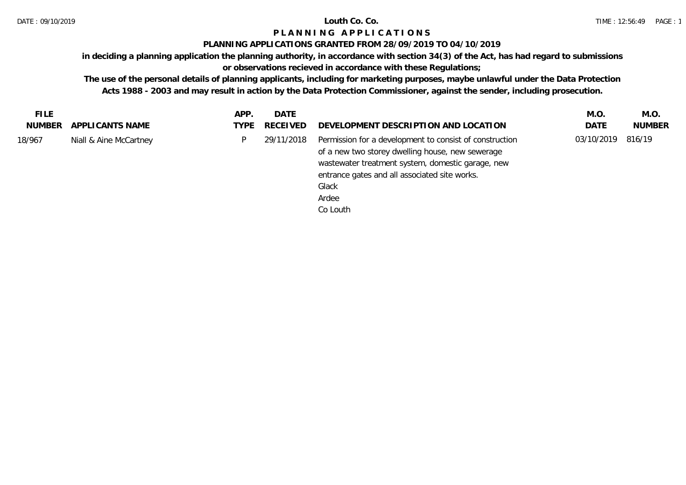## **PLANNING APPLICATIONS GRANTED FROM 28/09/2019 TO 04/10/2019**

**in deciding a planning application the planning authority, in accordance with section 34(3) of the Act, has had regard to submissions** 

## **or observations recieved in accordance with these Regulations;**

| <b>FILE</b> |                        | APP. | DATE          |                                                                                                                                                                                                                                                 | M.O.       | M.O.          |
|-------------|------------------------|------|---------------|-------------------------------------------------------------------------------------------------------------------------------------------------------------------------------------------------------------------------------------------------|------------|---------------|
| NUMBER      | APPLICANTS NAME        |      | TYPE RECEIVED | DEVELOPMENT DESCRIPTION AND LOCATION                                                                                                                                                                                                            | DATE       | <b>NUMBER</b> |
| 18/967      | Niall & Aine McCartney | P.   | 29/11/2018    | Permission for a development to consist of construction<br>of a new two storey dwelling house, new sewerage<br>wastewater treatment system, domestic garage, new<br>entrance gates and all associated site works.<br>Glack<br>Ardee<br>Co Louth | 03/10/2019 | 816/19        |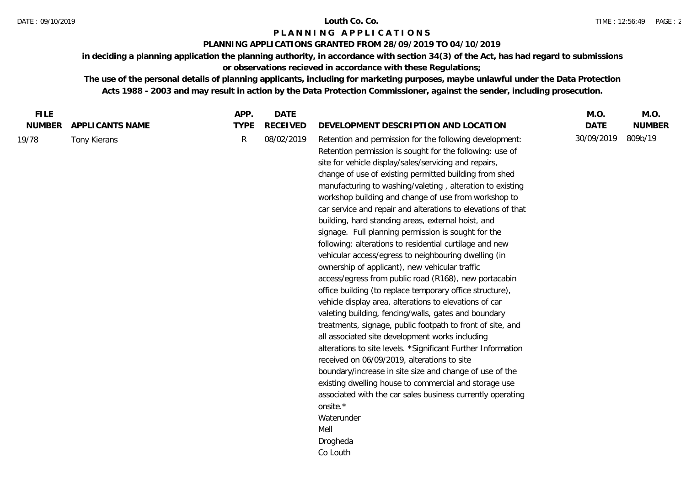## **PLANNING APPLICATIONS GRANTED FROM 28/09/2019 TO 04/10/2019**

**in deciding a planning application the planning authority, in accordance with section 34(3) of the Act, has had regard to submissions or observations recieved in accordance with these Regulations;**

| <b>FILE</b>   |                 | APP.        | <b>DATE</b>     |                                                                                                                                                                                                                                                                                                                                                                                                                                                                                                                                                                                                                                                                                                                                                                                                                                                                                                                                                                                                                                                                                                                                                                                                                                                                                                                                                                                                                                  | M.O.        | M.O.          |
|---------------|-----------------|-------------|-----------------|----------------------------------------------------------------------------------------------------------------------------------------------------------------------------------------------------------------------------------------------------------------------------------------------------------------------------------------------------------------------------------------------------------------------------------------------------------------------------------------------------------------------------------------------------------------------------------------------------------------------------------------------------------------------------------------------------------------------------------------------------------------------------------------------------------------------------------------------------------------------------------------------------------------------------------------------------------------------------------------------------------------------------------------------------------------------------------------------------------------------------------------------------------------------------------------------------------------------------------------------------------------------------------------------------------------------------------------------------------------------------------------------------------------------------------|-------------|---------------|
| <b>NUMBER</b> | APPLICANTS NAME | <b>TYPE</b> | <b>RECEIVED</b> | DEVELOPMENT DESCRIPTION AND LOCATION                                                                                                                                                                                                                                                                                                                                                                                                                                                                                                                                                                                                                                                                                                                                                                                                                                                                                                                                                                                                                                                                                                                                                                                                                                                                                                                                                                                             | <b>DATE</b> | <b>NUMBER</b> |
| 19/78         | Tony Kierans    | R           | 08/02/2019      | Retention and permission for the following development:<br>Retention permission is sought for the following: use of<br>site for vehicle display/sales/servicing and repairs,<br>change of use of existing permitted building from shed<br>manufacturing to washing/valeting, alteration to existing<br>workshop building and change of use from workshop to<br>car service and repair and alterations to elevations of that<br>building, hard standing areas, external hoist, and<br>signage. Full planning permission is sought for the<br>following: alterations to residential curtilage and new<br>vehicular access/egress to neighbouring dwelling (in<br>ownership of applicant), new vehicular traffic<br>access/egress from public road (R168), new portacabin<br>office building (to replace temporary office structure),<br>vehicle display area, alterations to elevations of car<br>valeting building, fencing/walls, gates and boundary<br>treatments, signage, public footpath to front of site, and<br>all associated site development works including<br>alterations to site levels. *Significant Further Information<br>received on 06/09/2019, alterations to site<br>boundary/increase in site size and change of use of the<br>existing dwelling house to commercial and storage use<br>associated with the car sales business currently operating<br>onsite.*<br>Waterunder<br>Mell<br>Drogheda<br>Co Louth | 30/09/2019  | 809b/19       |
|               |                 |             |                 |                                                                                                                                                                                                                                                                                                                                                                                                                                                                                                                                                                                                                                                                                                                                                                                                                                                                                                                                                                                                                                                                                                                                                                                                                                                                                                                                                                                                                                  |             |               |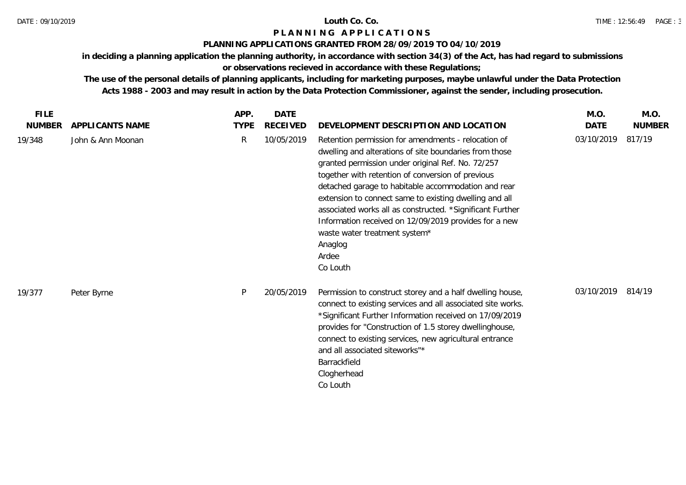### **PLANNING APPLICATIONS GRANTED FROM 28/09/2019 TO 04/10/2019**

**in deciding a planning application the planning authority, in accordance with section 34(3) of the Act, has had regard to submissions** 

# **or observations recieved in accordance with these Regulations;**

| <b>FILE</b>   |                   | APP.        | DATE            |                                                                                                                                                                                                                                                                                                                                                                                                                                                                                                                                 | M.O.        | M.O.          |
|---------------|-------------------|-------------|-----------------|---------------------------------------------------------------------------------------------------------------------------------------------------------------------------------------------------------------------------------------------------------------------------------------------------------------------------------------------------------------------------------------------------------------------------------------------------------------------------------------------------------------------------------|-------------|---------------|
| <b>NUMBER</b> | APPLICANTS NAME   | <b>TYPE</b> | <b>RECEIVED</b> | DEVELOPMENT DESCRIPTION AND LOCATION                                                                                                                                                                                                                                                                                                                                                                                                                                                                                            | <b>DATE</b> | <b>NUMBER</b> |
| 19/348        | John & Ann Moonan | R           | 10/05/2019      | Retention permission for amendments - relocation of<br>dwelling and alterations of site boundaries from those<br>granted permission under original Ref. No. 72/257<br>together with retention of conversion of previous<br>detached garage to habitable accommodation and rear<br>extension to connect same to existing dwelling and all<br>associated works all as constructed. *Significant Further<br>Information received on 12/09/2019 provides for a new<br>waste water treatment system*<br>Anaglog<br>Ardee<br>Co Louth | 03/10/2019  | 817/19        |
| 19/377        | Peter Byrne       | P           | 20/05/2019      | Permission to construct storey and a half dwelling house,<br>connect to existing services and all associated site works.<br>*Significant Further Information received on 17/09/2019<br>provides for "Construction of 1.5 storey dwellinghouse,<br>connect to existing services, new agricultural entrance<br>and all associated siteworks"*<br>Barrackfield<br>Clogherhead<br>Co Louth                                                                                                                                          | 03/10/2019  | 814/19        |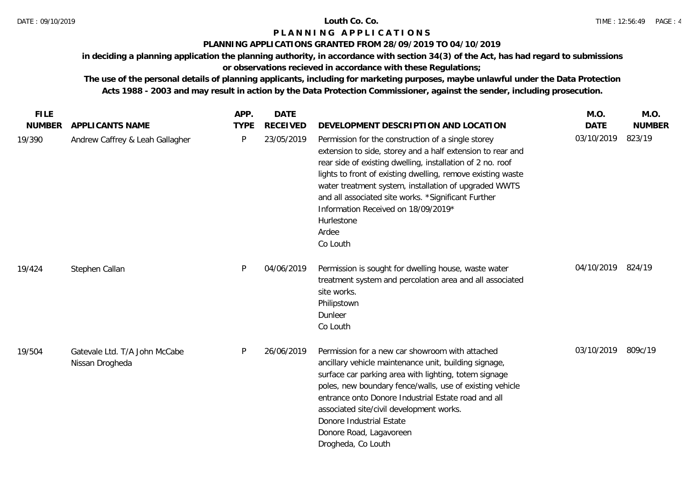## **PLANNING APPLICATIONS GRANTED FROM 28/09/2019 TO 04/10/2019**

**in deciding a planning application the planning authority, in accordance with section 34(3) of the Act, has had regard to submissions** 

# **or observations recieved in accordance with these Regulations;**

| <b>FILE</b>   |                                                  | APP.        | <b>DATE</b>     |                                                                                                                                                                                                                                                                                                                                                                                                                                         | M.O.              | M.O.          |
|---------------|--------------------------------------------------|-------------|-----------------|-----------------------------------------------------------------------------------------------------------------------------------------------------------------------------------------------------------------------------------------------------------------------------------------------------------------------------------------------------------------------------------------------------------------------------------------|-------------------|---------------|
| <b>NUMBER</b> | APPLICANTS NAME                                  | <b>TYPE</b> | <b>RECEIVED</b> | DEVELOPMENT DESCRIPTION AND LOCATION                                                                                                                                                                                                                                                                                                                                                                                                    | <b>DATE</b>       | <b>NUMBER</b> |
| 19/390        | Andrew Caffrey & Leah Gallagher                  | P           | 23/05/2019      | Permission for the construction of a single storey<br>extension to side, storey and a half extension to rear and<br>rear side of existing dwelling, installation of 2 no. roof<br>lights to front of existing dwelling, remove existing waste<br>water treatment system, installation of upgraded WWTS<br>and all associated site works. *Significant Further<br>Information Received on 18/09/2019*<br>Hurlestone<br>Ardee<br>Co Louth | 03/10/2019        | 823/19        |
| 19/424        | Stephen Callan                                   | P           | 04/06/2019      | Permission is sought for dwelling house, waste water<br>treatment system and percolation area and all associated<br>site works.<br>Philipstown<br>Dunleer<br>Co Louth                                                                                                                                                                                                                                                                   | 04/10/2019 824/19 |               |
| 19/504        | Gatevale Ltd. T/A John McCabe<br>Nissan Drogheda | P           | 26/06/2019      | Permission for a new car showroom with attached<br>ancillary vehicle maintenance unit, building signage,<br>surface car parking area with lighting, totem signage<br>poles, new boundary fence/walls, use of existing vehicle<br>entrance onto Donore Industrial Estate road and all<br>associated site/civil development works.<br>Donore Industrial Estate<br>Donore Road, Lagavoreen<br>Drogheda, Co Louth                           | 03/10/2019        | 809c/19       |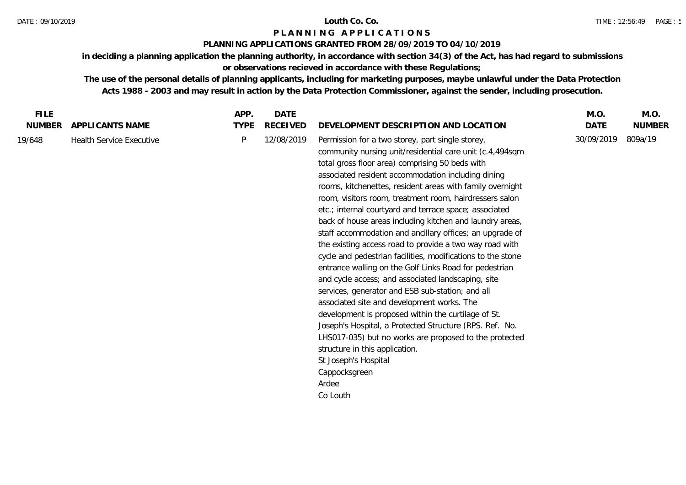## **PLANNING APPLICATIONS GRANTED FROM 28/09/2019 TO 04/10/2019**

**in deciding a planning application the planning authority, in accordance with section 34(3) of the Act, has had regard to submissions or observations recieved in accordance with these Regulations;**

| <b>FILE</b>   |                                 | APP.        | <b>DATE</b>     |                                                                                                                                                                                                                                                                                                                                                                                                                                                                                                                                                                                                                                                                                                                                                                                                                                                                                                                                                                                                                                                                                                                                                         | M.O.       | M.O.          |
|---------------|---------------------------------|-------------|-----------------|---------------------------------------------------------------------------------------------------------------------------------------------------------------------------------------------------------------------------------------------------------------------------------------------------------------------------------------------------------------------------------------------------------------------------------------------------------------------------------------------------------------------------------------------------------------------------------------------------------------------------------------------------------------------------------------------------------------------------------------------------------------------------------------------------------------------------------------------------------------------------------------------------------------------------------------------------------------------------------------------------------------------------------------------------------------------------------------------------------------------------------------------------------|------------|---------------|
| <b>NUMBER</b> | APPLICANTS NAME                 | <b>TYPE</b> | <b>RECEIVED</b> | DEVELOPMENT DESCRIPTION AND LOCATION                                                                                                                                                                                                                                                                                                                                                                                                                                                                                                                                                                                                                                                                                                                                                                                                                                                                                                                                                                                                                                                                                                                    | DATE       | <b>NUMBER</b> |
| 19/648        | <b>Health Service Executive</b> | P           | 12/08/2019      | Permission for a two storey, part single storey,<br>community nursing unit/residential care unit (c.4,494sqm<br>total gross floor area) comprising 50 beds with<br>associated resident accommodation including dining<br>rooms, kitchenettes, resident areas with family overnight<br>room, visitors room, treatment room, hairdressers salon<br>etc.; internal courtyard and terrace space; associated<br>back of house areas including kitchen and laundry areas,<br>staff accommodation and ancillary offices; an upgrade of<br>the existing access road to provide a two way road with<br>cycle and pedestrian facilities, modifications to the stone<br>entrance walling on the Golf Links Road for pedestrian<br>and cycle access; and associated landscaping, site<br>services, generator and ESB sub-station; and all<br>associated site and development works. The<br>development is proposed within the curtilage of St.<br>Joseph's Hospital, a Protected Structure (RPS. Ref. No.<br>LHS017-035) but no works are proposed to the protected<br>structure in this application.<br>St Joseph's Hospital<br>Cappocksgreen<br>Ardee<br>Co Louth | 30/09/2019 | 809a/19       |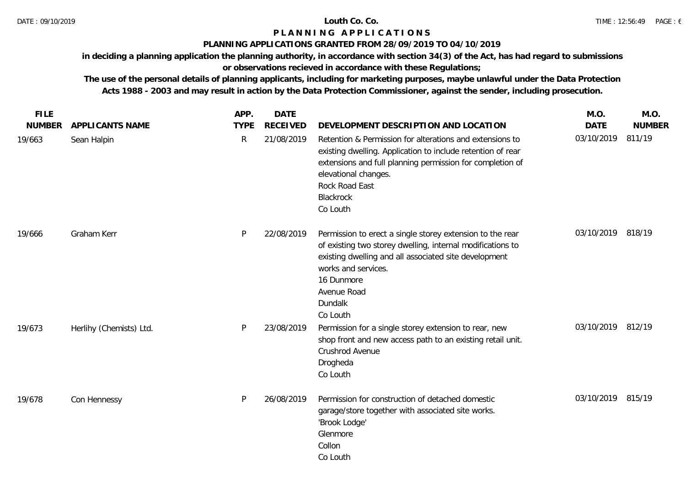## **PLANNING APPLICATIONS GRANTED FROM 28/09/2019 TO 04/10/2019**

**in deciding a planning application the planning authority, in accordance with section 34(3) of the Act, has had regard to submissions** 

# **or observations recieved in accordance with these Regulations;**

| <b>FILE</b>   |                         | APP.         | <b>DATE</b>     |                                                                                                                                                                                                                                                             | M.O.              | M.O.          |
|---------------|-------------------------|--------------|-----------------|-------------------------------------------------------------------------------------------------------------------------------------------------------------------------------------------------------------------------------------------------------------|-------------------|---------------|
| <b>NUMBER</b> | <b>APPLICANTS NAME</b>  | <b>TYPE</b>  | <b>RECEIVED</b> | DEVELOPMENT DESCRIPTION AND LOCATION                                                                                                                                                                                                                        | <b>DATE</b>       | <b>NUMBER</b> |
| 19/663        | Sean Halpin             | $\mathsf{R}$ | 21/08/2019      | Retention & Permission for alterations and extensions to<br>existing dwelling. Application to include retention of rear<br>extensions and full planning permission for completion of<br>elevational changes.<br>Rock Road East<br>Blackrock<br>Co Louth     | 03/10/2019        | 811/19        |
| 19/666        | Graham Kerr             | P            | 22/08/2019      | Permission to erect a single storey extension to the rear<br>of existing two storey dwelling, internal modifications to<br>existing dwelling and all associated site development<br>works and services.<br>16 Dunmore<br>Avenue Road<br>Dundalk<br>Co Louth | 03/10/2019 818/19 |               |
| 19/673        | Herlihy (Chemists) Ltd. | P            | 23/08/2019      | Permission for a single storey extension to rear, new<br>shop front and new access path to an existing retail unit.<br>Crushrod Avenue<br>Drogheda<br>Co Louth                                                                                              | 03/10/2019 812/19 |               |
| 19/678        | Con Hennessy            | P            | 26/08/2019      | Permission for construction of detached domestic<br>garage/store together with associated site works.<br>'Brook Lodge'<br>Glenmore<br>Collon<br>Co Louth                                                                                                    | 03/10/2019 815/19 |               |